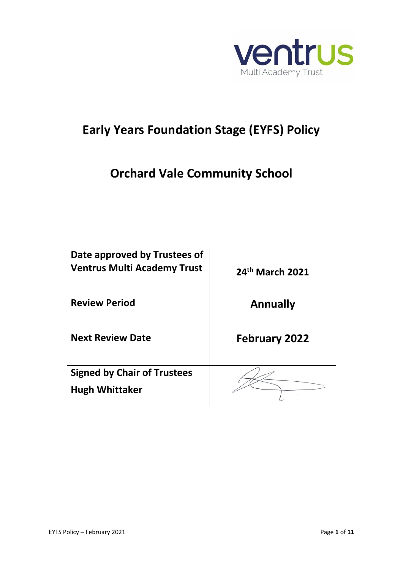

# **Early Years Foundation Stage (EYFS) Policy**

# **Orchard Vale Community School**

| Date approved by Trustees of<br><b>Ventrus Multi Academy Trust</b> | 24th March 2021      |
|--------------------------------------------------------------------|----------------------|
| <b>Review Period</b>                                               | <b>Annually</b>      |
| <b>Next Review Date</b>                                            | <b>February 2022</b> |
| <b>Signed by Chair of Trustees</b><br><b>Hugh Whittaker</b>        |                      |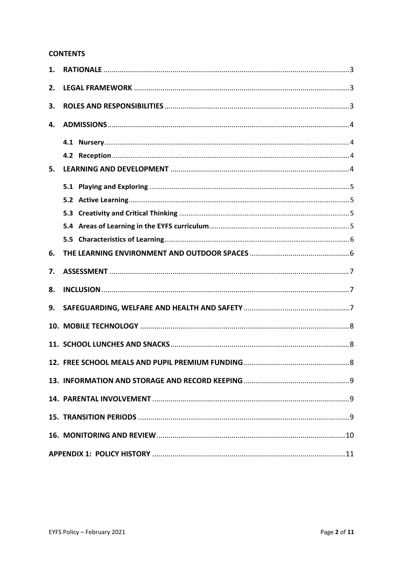#### **CONTENTS**

| 1. |  |
|----|--|
| 2. |  |
| 3. |  |
| 4. |  |
|    |  |
|    |  |
| 5. |  |
|    |  |
|    |  |
|    |  |
|    |  |
|    |  |
| 6. |  |
| 7. |  |
| 8. |  |
| 9. |  |
|    |  |
|    |  |
|    |  |
|    |  |
|    |  |
|    |  |
|    |  |
|    |  |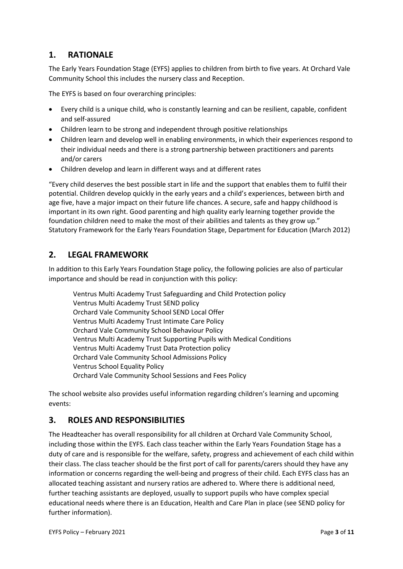# <span id="page-2-0"></span>**1. RATIONALE**

The Early Years Foundation Stage (EYFS) applies to children from birth to five years. At Orchard Vale Community School this includes the nursery class and Reception.

The EYFS is based on four overarching principles:

- Every child is a unique child, who is constantly learning and can be resilient, capable, confident and self-assured
- Children learn to be strong and independent through positive relationships
- Children learn and develop well in enabling environments, in which their experiences respond to their individual needs and there is a strong partnership between practitioners and parents and/or carers
- Children develop and learn in different ways and at different rates

"Every child deserves the best possible start in life and the support that enables them to fulfil their potential. Children develop quickly in the early years and a child's experiences, between birth and age five, have a major impact on their future life chances. A secure, safe and happy childhood is important in its own right. Good parenting and high quality early learning together provide the foundation children need to make the most of their abilities and talents as they grow up." Statutory Framework for the Early Years Foundation Stage, Department for Education (March 2012)

## <span id="page-2-1"></span>**2. LEGAL FRAMEWORK**

In addition to this Early Years Foundation Stage policy, the following policies are also of particular importance and should be read in conjunction with this policy:

Ventrus Multi Academy Trust Safeguarding and Child Protection policy Ventrus Multi Academy Trust SEND policy Orchard Vale Community School SEND Local Offer Ventrus Multi Academy Trust Intimate Care Policy Orchard Vale Community School Behaviour Policy Ventrus Multi Academy Trust Supporting Pupils with Medical Conditions Ventrus Multi Academy Trust Data Protection policy Orchard Vale Community School Admissions Policy Ventrus School Equality Policy Orchard Vale Community School Sessions and Fees Policy

The school website also provides useful information regarding children's learning and upcoming events:

## <span id="page-2-2"></span>**3. ROLES AND RESPONSIBILITIES**

The Headteacher has overall responsibility for all children at Orchard Vale Community School, including those within the EYFS. Each class teacher within the Early Years Foundation Stage has a duty of care and is responsible for the welfare, safety, progress and achievement of each child within their class. The class teacher should be the first port of call for parents/carers should they have any information or concerns regarding the well-being and progress of their child. Each EYFS class has an allocated teaching assistant and nursery ratios are adhered to. Where there is additional need, further teaching assistants are deployed, usually to support pupils who have complex special educational needs where there is an Education, Health and Care Plan in place (see SEND policy for further information).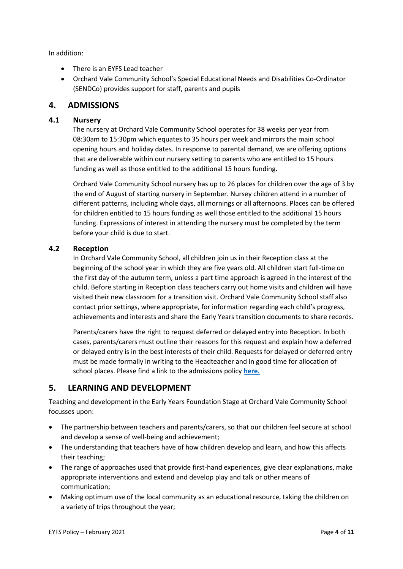In addition:

- There is an EYFS Lead teacher
- Orchard Vale Community School's Special Educational Needs and Disabilities Co-Ordinator (SENDCo) provides support for staff, parents and pupils

### <span id="page-3-0"></span>**4. ADMISSIONS**

#### <span id="page-3-1"></span>**4.1 Nursery**

The nursery at Orchard Vale Community School operates for 38 weeks per year from 08:30am to 15:30pm which equates to 35 hours per week and mirrors the main school opening hours and holiday dates. In response to parental demand, we are offering options that are deliverable within our nursery setting to parents who are entitled to 15 hours funding as well as those entitled to the additional 15 hours funding.

Orchard Vale Community School nursery has up to 26 places for children over the age of 3 by the end of August of starting nursery in September. Nursey children attend in a number of different patterns, including whole days, all mornings or all afternoons. Places can be offered for children entitled to 15 hours funding as well those entitled to the additional 15 hours funding. Expressions of interest in attending the nursery must be completed by the term before your child is due to start.

#### <span id="page-3-2"></span>**4.2 Reception**

In Orchard Vale Community School, all children join us in their Reception class at the beginning of the school year in which they are five years old. All children start full-time on the first day of the autumn term, unless a part time approach is agreed in the interest of the child. Before starting in Reception class teachers carry out home visits and children will have visited their new classroom for a transition visit. Orchard Vale Community School staff also contact prior settings, where appropriate, for information regarding each child's progress, achievements and interests and share the Early Years transition documents to share records.

Parents/carers have the right to request deferred or delayed entry into Reception. In both cases, parents/carers must outline their reasons for this request and explain how a deferred or delayed entry is in the best interests of their child. Requests for delayed or deferred entry must be made formally in writing to the Headteacher and in good time for allocation of school places. Please find a link to the admissions policy **[here.](https://orchardvale.eschools.co.uk/website/policies_/59138)**

### <span id="page-3-3"></span>**5. LEARNING AND DEVELOPMENT**

Teaching and development in the Early Years Foundation Stage at Orchard Vale Community School focusses upon:

- The partnership between teachers and parents/carers, so that our children feel secure at school and develop a sense of well-being and achievement;
- The understanding that teachers have of how children develop and learn, and how this affects their teaching;
- The range of approaches used that provide first-hand experiences, give clear explanations, make appropriate interventions and extend and develop play and talk or other means of communication;
- Making optimum use of the local community as an educational resource, taking the children on a variety of trips throughout the year;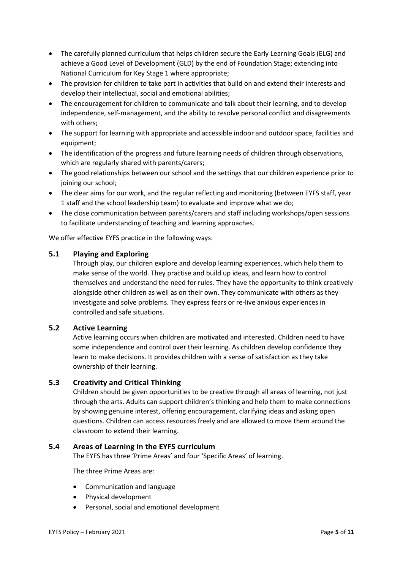- The carefully planned curriculum that helps children secure the Early Learning Goals (ELG) and achieve a Good Level of Development (GLD) by the end of Foundation Stage; extending into National Curriculum for Key Stage 1 where appropriate;
- The provision for children to take part in activities that build on and extend their interests and develop their intellectual, social and emotional abilities;
- The encouragement for children to communicate and talk about their learning, and to develop independence, self-management, and the ability to resolve personal conflict and disagreements with others;
- The support for learning with appropriate and accessible indoor and outdoor space, facilities and equipment;
- The identification of the progress and future learning needs of children through observations, which are regularly shared with parents/carers;
- The good relationships between our school and the settings that our children experience prior to joining our school;
- The clear aims for our work, and the regular reflecting and monitoring (between EYFS staff, year 1 staff and the school leadership team) to evaluate and improve what we do;
- The close communication between parents/carers and staff including workshops/open sessions to facilitate understanding of teaching and learning approaches.

We offer effective EYFS practice in the following ways:

#### <span id="page-4-0"></span>**5.1 Playing and Exploring**

Through play, our children explore and develop learning experiences, which help them to make sense of the world. They practise and build up ideas, and learn how to control themselves and understand the need for rules. They have the opportunity to think creatively alongside other children as well as on their own. They communicate with others as they investigate and solve problems. They express fears or re-live anxious experiences in controlled and safe situations.

#### <span id="page-4-1"></span>**5.2 Active Learning**

Active learning occurs when children are motivated and interested. Children need to have some independence and control over their learning. As children develop confidence they learn to make decisions. It provides children with a sense of satisfaction as they take ownership of their learning.

#### <span id="page-4-2"></span>**5.3 Creativity and Critical Thinking**

Children should be given opportunities to be creative through all areas of learning, not just through the arts. Adults can support children's thinking and help them to make connections by showing genuine interest, offering encouragement, clarifying ideas and asking open questions. Children can access resources freely and are allowed to move them around the classroom to extend their learning.

#### <span id="page-4-3"></span>**5.4 Areas of Learning in the EYFS curriculum**

The EYFS has three 'Prime Areas' and four 'Specific Areas' of learning.

The three Prime Areas are:

- Communication and language
- Physical development
- Personal, social and emotional development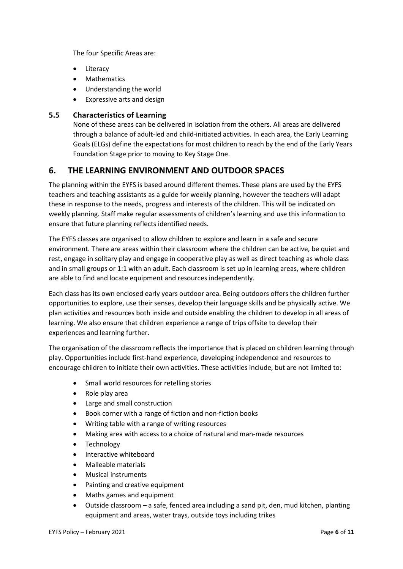The four Specific Areas are:

- Literacy
- Mathematics
- Understanding the world
- Expressive arts and design

#### <span id="page-5-0"></span>**5.5 Characteristics of Learning**

None of these areas can be delivered in isolation from the others. All areas are delivered through a balance of adult-led and child-initiated activities. In each area, the Early Learning Goals (ELGs) define the expectations for most children to reach by the end of the Early Years Foundation Stage prior to moving to Key Stage One.

## <span id="page-5-1"></span>**6. THE LEARNING ENVIRONMENT AND OUTDOOR SPACES**

The planning within the EYFS is based around different themes. These plans are used by the EYFS teachers and teaching assistants as a guide for weekly planning, however the teachers will adapt these in response to the needs, progress and interests of the children. This will be indicated on weekly planning. Staff make regular assessments of children's learning and use this information to ensure that future planning reflects identified needs.

The EYFS classes are organised to allow children to explore and learn in a safe and secure environment. There are areas within their classroom where the children can be active, be quiet and rest, engage in solitary play and engage in cooperative play as well as direct teaching as whole class and in small groups or 1:1 with an adult. Each classroom is set up in learning areas, where children are able to find and locate equipment and resources independently.

Each class has its own enclosed early years outdoor area. Being outdoors offers the children further opportunities to explore, use their senses, develop their language skills and be physically active. We plan activities and resources both inside and outside enabling the children to develop in all areas of learning. We also ensure that children experience a range of trips offsite to develop their experiences and learning further.

The organisation of the classroom reflects the importance that is placed on children learning through play. Opportunities include first-hand experience, developing independence and resources to encourage children to initiate their own activities. These activities include, but are not limited to:

- Small world resources for retelling stories
- Role play area
- Large and small construction
- Book corner with a range of fiction and non-fiction books
- Writing table with a range of writing resources
- Making area with access to a choice of natural and man-made resources
- Technology
- Interactive whiteboard
- Malleable materials
- Musical instruments
- Painting and creative equipment
- Maths games and equipment
- Outside classroom a safe, fenced area including a sand pit, den, mud kitchen, planting equipment and areas, water trays, outside toys including trikes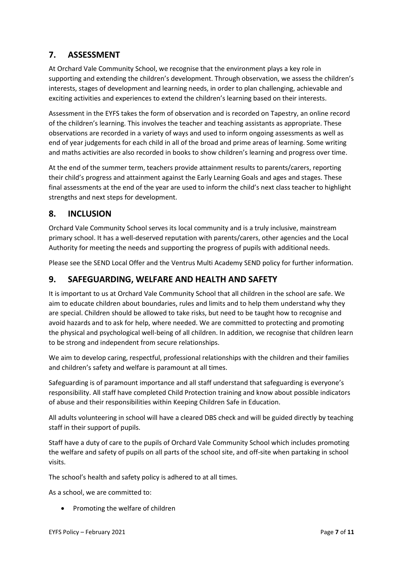# <span id="page-6-0"></span>**7. ASSESSMENT**

At Orchard Vale Community School, we recognise that the environment plays a key role in supporting and extending the children's development. Through observation, we assess the children's interests, stages of development and learning needs, in order to plan challenging, achievable and exciting activities and experiences to extend the children's learning based on their interests.

Assessment in the EYFS takes the form of observation and is recorded on Tapestry, an online record of the children's learning. This involves the teacher and teaching assistants as appropriate. These observations are recorded in a variety of ways and used to inform ongoing assessments as well as end of year judgements for each child in all of the broad and prime areas of learning. Some writing and maths activities are also recorded in books to show children's learning and progress over time.

At the end of the summer term, teachers provide attainment results to parents/carers, reporting their child's progress and attainment against the Early Learning Goals and ages and stages. These final assessments at the end of the year are used to inform the child's next class teacher to highlight strengths and next steps for development.

# <span id="page-6-1"></span>**8. INCLUSION**

Orchard Vale Community School serves its local community and is a truly inclusive, mainstream primary school. It has a well-deserved reputation with parents/carers, other agencies and the Local Authority for meeting the needs and supporting the progress of pupils with additional needs.

Please see the SEND Local Offer and the Ventrus Multi Academy SEND policy for further information.

# <span id="page-6-2"></span>**9. SAFEGUARDING, WELFARE AND HEALTH AND SAFETY**

It is important to us at Orchard Vale Community School that all children in the school are safe. We aim to educate children about boundaries, rules and limits and to help them understand why they are special. Children should be allowed to take risks, but need to be taught how to recognise and avoid hazards and to ask for help, where needed. We are committed to protecting and promoting the physical and psychological well-being of all children. In addition, we recognise that children learn to be strong and independent from secure relationships.

We aim to develop caring, respectful, professional relationships with the children and their families and children's safety and welfare is paramount at all times.

Safeguarding is of paramount importance and all staff understand that safeguarding is everyone's responsibility. All staff have completed Child Protection training and know about possible indicators of abuse and their responsibilities within Keeping Children Safe in Education.

All adults volunteering in school will have a cleared DBS check and will be guided directly by teaching staff in their support of pupils.

Staff have a duty of care to the pupils of Orchard Vale Community School which includes promoting the welfare and safety of pupils on all parts of the school site, and off-site when partaking in school visits.

The school's health and safety policy is adhered to at all times.

As a school, we are committed to:

• Promoting the welfare of children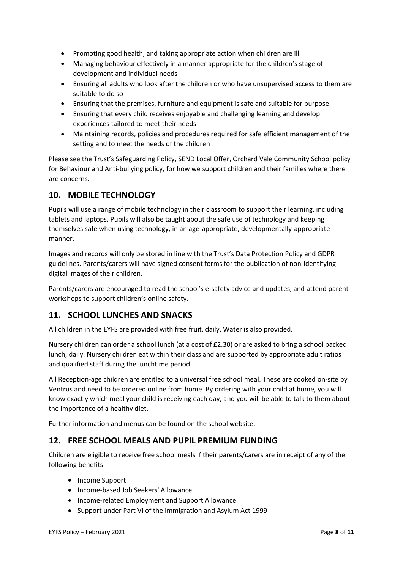- Promoting good health, and taking appropriate action when children are ill
- Managing behaviour effectively in a manner appropriate for the children's stage of development and individual needs
- Ensuring all adults who look after the children or who have unsupervised access to them are suitable to do so
- Ensuring that the premises, furniture and equipment is safe and suitable for purpose
- Ensuring that every child receives enjoyable and challenging learning and develop experiences tailored to meet their needs
- Maintaining records, policies and procedures required for safe efficient management of the setting and to meet the needs of the children

Please see the Trust's Safeguarding Policy, SEND Local Offer, Orchard Vale Community School policy for Behaviour and Anti-bullying policy, for how we support children and their families where there are concerns.

# <span id="page-7-0"></span>**10. MOBILE TECHNOLOGY**

Pupils will use a range of mobile technology in their classroom to support their learning, including tablets and laptops. Pupils will also be taught about the safe use of technology and keeping themselves safe when using technology, in an age-appropriate, developmentally-appropriate manner.

Images and records will only be stored in line with the Trust's Data Protection Policy and GDPR guidelines. Parents/carers will have signed consent forms for the publication of non-identifying digital images of their children.

Parents/carers are encouraged to read the school's e-safety advice and updates, and attend parent workshops to support children's online safety.

# <span id="page-7-1"></span>**11. SCHOOL LUNCHES AND SNACKS**

All children in the EYFS are provided with free fruit, daily. Water is also provided.

Nursery children can order a school lunch (at a cost of £2.30) or are asked to bring a school packed lunch, daily. Nursery children eat within their class and are supported by appropriate adult ratios and qualified staff during the lunchtime period.

All Reception-age children are entitled to a universal free school meal. These are cooked on-site by Ventrus and need to be ordered online from home. By ordering with your child at home, you will know exactly which meal your child is receiving each day, and you will be able to talk to them about the importance of a healthy diet.

Further information and menus can be found on the school website.

## <span id="page-7-2"></span>**12. FREE SCHOOL MEALS AND PUPIL PREMIUM FUNDING**

Children are eligible to receive free school meals if their parents/carers are in receipt of any of the following benefits:

- Income Support
- Income-based Job Seekers' Allowance
- Income-related Employment and Support Allowance
- Support under Part VI of the Immigration and Asylum Act 1999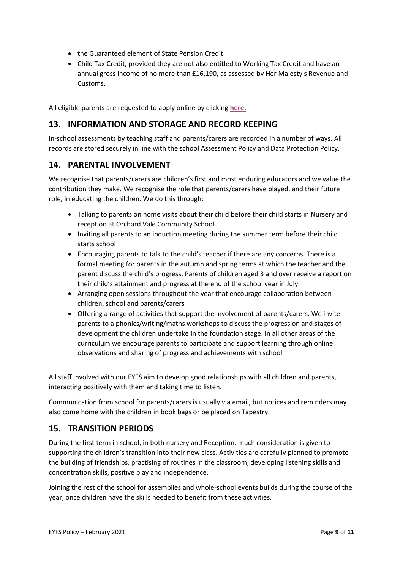- the Guaranteed element of State Pension Credit
- Child Tax Credit, provided they are not also entitled to Working Tax Credit and have an annual gross income of no more than £16,190, as assessed by Her Majesty's Revenue and Customs.

All eligible parents are requested to apply online by clicking **[here.](https://www.devon.gov.uk/educationandfamilies/school-information/school-meals)**

# <span id="page-8-0"></span>**13. INFORMATION AND STORAGE AND RECORD KEEPING**

In-school assessments by teaching staff and parents/carers are recorded in a number of ways. All records are stored securely in line with the school Assessment Policy and Data Protection Policy.

## <span id="page-8-1"></span>**14. PARENTAL INVOLVEMENT**

We recognise that parents/carers are children's first and most enduring educators and we value the contribution they make. We recognise the role that parents/carers have played, and their future role, in educating the children. We do this through:

- Talking to parents on home visits about their child before their child starts in Nursery and reception at Orchard Vale Community School
- Inviting all parents to an induction meeting during the summer term before their child starts school
- Encouraging parents to talk to the child's teacher if there are any concerns. There is a formal meeting for parents in the autumn and spring terms at which the teacher and the parent discuss the child's progress. Parents of children aged 3 and over receive a report on their child's attainment and progress at the end of the school year in July
- Arranging open sessions throughout the year that encourage collaboration between children, school and parents/carers
- Offering a range of activities that support the involvement of parents/carers. We invite parents to a phonics/writing/maths workshops to discuss the progression and stages of development the children undertake in the foundation stage. In all other areas of the curriculum we encourage parents to participate and support learning through online observations and sharing of progress and achievements with school

All staff involved with our EYFS aim to develop good relationships with all children and parents, interacting positively with them and taking time to listen.

Communication from school for parents/carers is usually via email, but notices and reminders may also come home with the children in book bags or be placed on Tapestry.

## <span id="page-8-2"></span>**15. TRANSITION PERIODS**

During the first term in school, in both nursery and Reception, much consideration is given to supporting the children's transition into their new class. Activities are carefully planned to promote the building of friendships, practising of routines in the classroom, developing listening skills and concentration skills, positive play and independence.

Joining the rest of the school for assemblies and whole-school events builds during the course of the year, once children have the skills needed to benefit from these activities.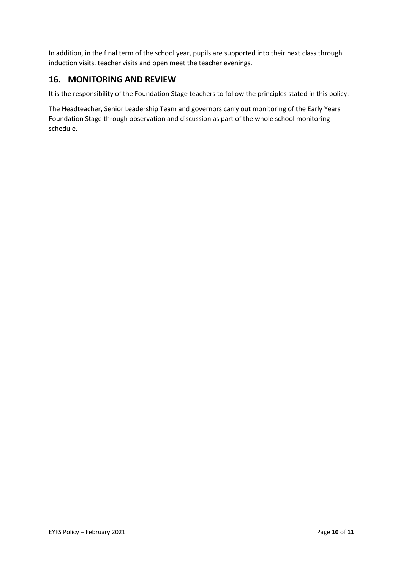In addition, in the final term of the school year, pupils are supported into their next class through induction visits, teacher visits and open meet the teacher evenings.

## <span id="page-9-0"></span>**16. MONITORING AND REVIEW**

It is the responsibility of the Foundation Stage teachers to follow the principles stated in this policy.

The Headteacher, Senior Leadership Team and governors carry out monitoring of the Early Years Foundation Stage through observation and discussion as part of the whole school monitoring schedule.